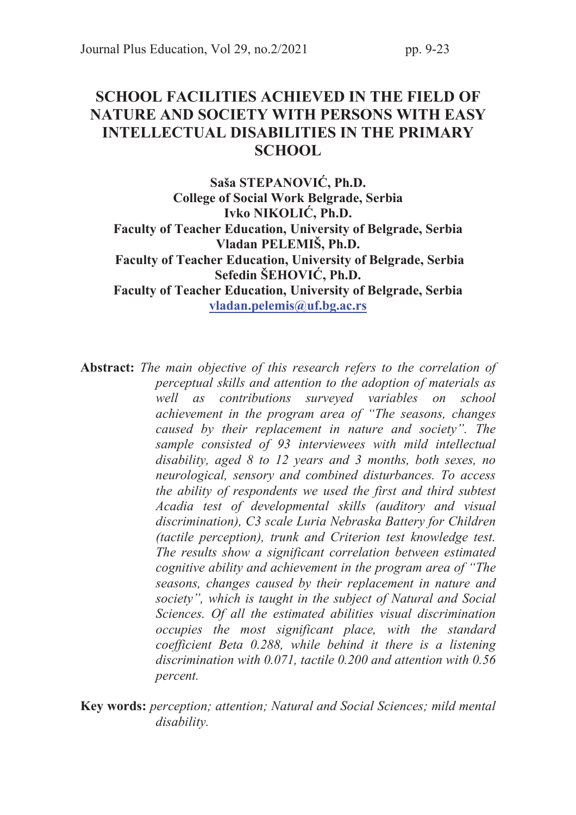# SCHOOL FACILITIES ACHIEVED IN THE FIELD OF NATURE AND SOCIETY WITH PERSONS WITH EASY INTELLECTUAL DISABILITIES IN THE PRIMARY **SCHOOL**

Saša STEPANOVIĆ, Ph.D. College of Social Work Belgrade, Serbia Ivko NIKOLIĆ, Ph.D. Faculty of Teacher Education, University of Belgrade, Serbia Vladan PELEMIŠ, Ph.D. Faculty of Teacher Education, University of Belgrade, Serbia Sefedin ŠEHOVIĆ, Ph.D. Faculty of Teacher Education, University of Belgrade, Serbia vladan.pelemis@uf.bg.ac.rs

Abstract: The main objective of this research refers to the correlation of perceptual skills and attention to the adoption of materials as well as contributions surveyed variables on school achievement in the program area of "The seasons, changes caused by their replacement in nature and society". The sample consisted of 93 interviewees with mild intellectual disability, aged 8 to 12 years and 3 months, both sexes, no neurological, sensory and combined disturbances. To access the ability of respondents we used the first and third subtest Acadia test of developmental skills (auditory and visual discrimination), C3 scale Luria Nebraska Battery for Children (tactile perception), trunk and Criterion test knowledge test. The results show a significant correlation between estimated cognitive ability and achievement in the program area of "The seasons, changes caused by their replacement in nature and society", which is taught in the subject of Natural and Social Sciences. Of all the estimated abilities visual discrimination occupies the most significant place, with the standard coefficient Beta 0.288, while behind it there is a listening discrimination with 0.071, tactile 0.200 and attention with 0.56 percent.

Key words: perception; attention; Natural and Social Sciences; mild mental disability.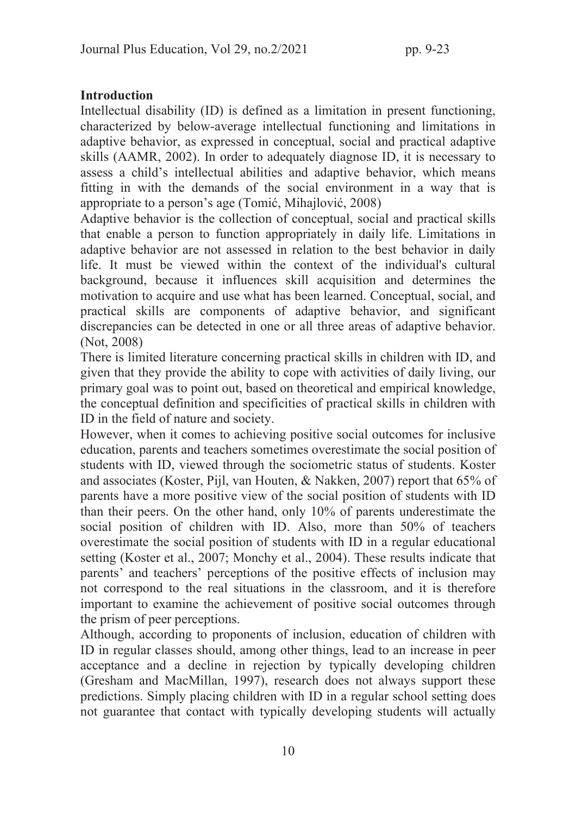## **Introduction**

Intellectual disability (ID) is defined as a limitation in present functioning, characterized by below-average intellectual functioning and limitations in adaptive behavior, as expressed in conceptual, social and practical adaptive skills (AAMR, 2002). In order to adequately diagnose ID, it is necessary to assess a child's intellectual abilities and adaptive behavior, which means fitting in with the demands of the social environment in a way that is appropriate to a person's age (Tomić, Mihajlović, 2008)

Adaptive behavior is the collection of conceptual, social and practical skills that enable a person to function appropriately in daily life. Limitations in adaptive behavior are not assessed in relation to the best behavior in daily life. It must be viewed within the context of the individual's cultural background, because it influences skill acquisition and determines the motivation to acquire and use what has been learned. Conceptual, social, and practical skills are components of adaptive behavior, and significant discrepancies can be detected in one or all three areas of adaptive behavior. (Not, 2008)

There is limited literature concerning practical skills in children with ID, and given that they provide the ability to cope with activities of daily living, our primary goal was to point out, based on theoretical and empirical knowledge, the conceptual definition and specificities of practical skills in children with ID in the field of nature and society.

However, when it comes to achieving positive social outcomes for inclusive education, parents and teachers sometimes overestimate the social position of students with ID, viewed through the sociometric status of students. Koster and associates (Koster, Pijl, van Houten, & Nakken, 2007) report that 65% of parents have a more positive view of the social position of students with ID than their peers. On the other hand, only 10% of parents underestimate the social position of children with ID. Also, more than 50% of teachers overestimate the social position of students with ID in a regular educational setting (Koster et al., 2007; Monchy et al., 2004). These results indicate that parents' and teachers' perceptions of the positive effects of inclusion may not correspond to the real situations in the classroom, and it is therefore important to examine the achievement of positive social outcomes through the prism of peer perceptions.

Although, according to proponents of inclusion, education of children with ID in regular classes should, among other things, lead to an increase in peer acceptance and a decline in rejection by typically developing children (Gresham and MacMillan, 1997), research does not always support these predictions. Simply placing children with ID in a regular school setting does not guarantee that contact with typically developing students will actually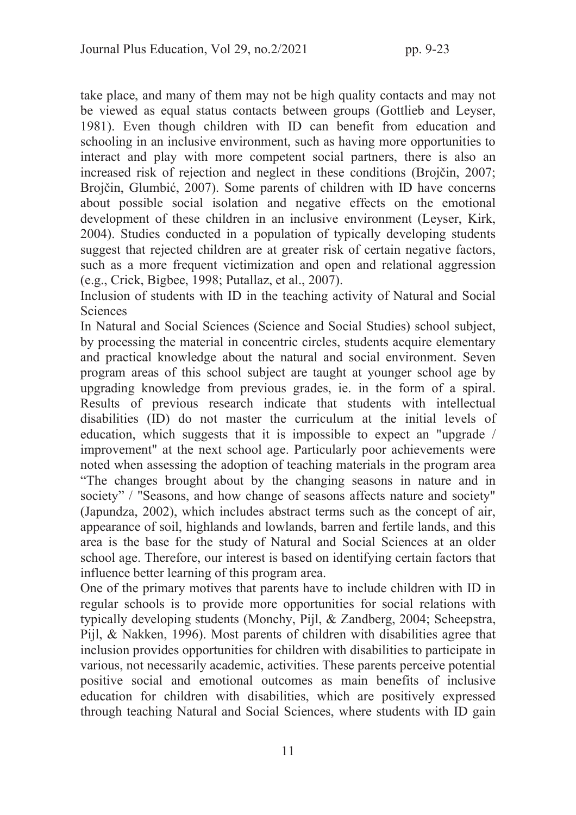take place, and many of them may not be high quality contacts and may not be viewed as equal status contacts between groups (Gottlieb and Leyser, 1981). Even though children with ID can benefit from education and schooling in an inclusive environment, such as having more opportunities to interact and play with more competent social partners, there is also an increased risk of rejection and neglect in these conditions (Brojčin, 2007; Brojčin, Glumbić, 2007). Some parents of children with ID have concerns about possible social isolation and negative effects on the emotional development of these children in an inclusive environment (Leyser, Kirk, 2004). Studies conducted in a population of typically developing students suggest that rejected children are at greater risk of certain negative factors, such as a more frequent victimization and open and relational aggression (e.g., Crick, Bigbee, 1998; Putallaz, et al., 2007).

Inclusion of students with ID in the teaching activity of Natural and Social Sciences

In Natural and Social Sciences (Science and Social Studies) school subject, by processing the material in concentric circles, students acquire elementary and practical knowledge about the natural and social environment. Seven program areas of this school subject are taught at younger school age by upgrading knowledge from previous grades, ie. in the form of a spiral. Results of previous research indicate that students with intellectual disabilities (ID) do not master the curriculum at the initial levels of education, which suggests that it is impossible to expect an "upgrade / improvement" at the next school age. Particularly poor achievements were noted when assessing the adoption of teaching materials in the program area "The changes brought about by the changing seasons in nature and in society" / "Seasons, and how change of seasons affects nature and society" (Japundza, 2002), which includes abstract terms such as the concept of air, appearance of soil, highlands and lowlands, barren and fertile lands, and this area is the base for the study of Natural and Social Sciences at an older school age. Therefore, our interest is based on identifying certain factors that influence better learning of this program area.

One of the primary motives that parents have to include children with ID in regular schools is to provide more opportunities for social relations with typically developing students (Monchy, Pijl, & Zandberg, 2004; Scheepstra, Pijl, & Nakken, 1996). Most parents of children with disabilities agree that inclusion provides opportunities for children with disabilities to participate in various, not necessarily academic, activities. These parents perceive potential positive social and emotional outcomes as main benefits of inclusive education for children with disabilities, which are positively expressed through teaching Natural and Social Sciences, where students with ID gain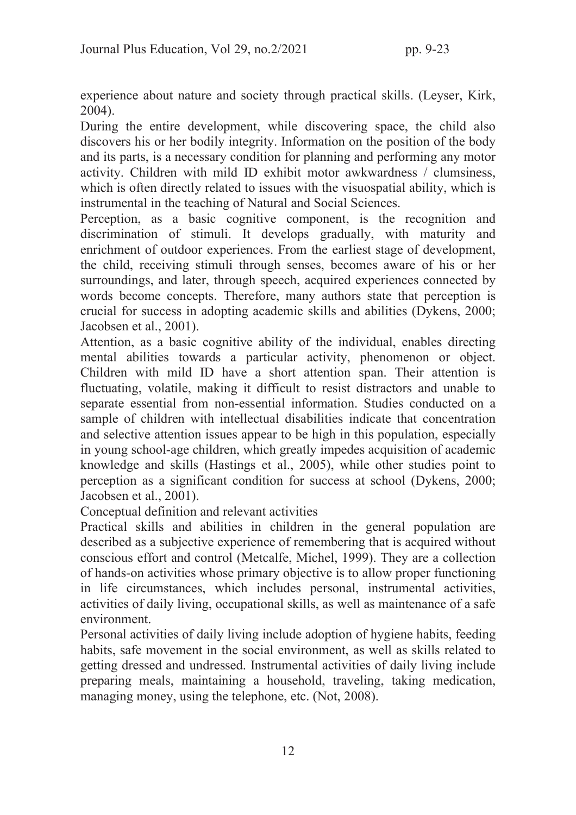experience about nature and society through practical skills. (Leyser, Kirk, 2004).

During the entire development, while discovering space, the child also discovers his or her bodily integrity. Information on the position of the body and its parts, is a necessary condition for planning and performing any motor activity. Children with mild ID exhibit motor awkwardness / clumsiness, which is often directly related to issues with the visuospatial ability, which is instrumental in the teaching of Natural and Social Sciences.

Perception, as a basic cognitive component, is the recognition and discrimination of stimuli. It develops gradually, with maturity and enrichment of outdoor experiences. From the earliest stage of development, the child, receiving stimuli through senses, becomes aware of his or her surroundings, and later, through speech, acquired experiences connected by words become concepts. Therefore, many authors state that perception is crucial for success in adopting academic skills and abilities (Dykens, 2000; Jacobsen et al., 2001).

Attention, as a basic cognitive ability of the individual, enables directing mental abilities towards a particular activity, phenomenon or object. Children with mild ID have a short attention span. Their attention is fluctuating, volatile, making it difficult to resist distractors and unable to separate essential from non-essential information. Studies conducted on a sample of children with intellectual disabilities indicate that concentration and selective attention issues appear to be high in this population, especially in young school-age children, which greatly impedes acquisition of academic knowledge and skills (Hastings et al., 2005), while other studies point to perception as a significant condition for success at school (Dykens, 2000; Jacobsen et al., 2001).

Conceptual definition and relevant activities

Practical skills and abilities in children in the general population are described as a subjective experience of remembering that is acquired without conscious effort and control (Metcalfe, Michel, 1999). They are a collection of hands-on activities whose primary objective is to allow proper functioning in life circumstances, which includes personal, instrumental activities, activities of daily living, occupational skills, as well as maintenance of a safe environment.

Personal activities of daily living include adoption of hygiene habits, feeding habits, safe movement in the social environment, as well as skills related to getting dressed and undressed. Instrumental activities of daily living include preparing meals, maintaining a household, traveling, taking medication, managing money, using the telephone, etc. (Not, 2008).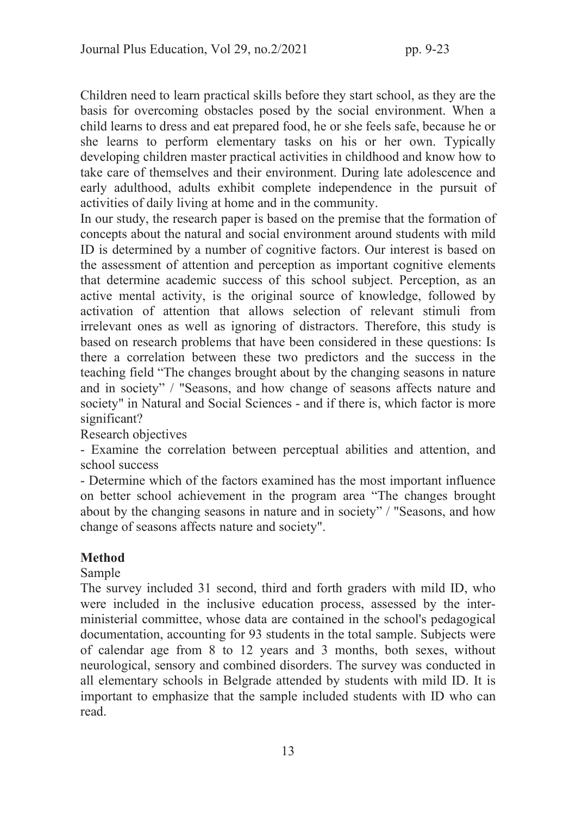Children need to learn practical skills before they start school, as they are the basis for overcoming obstacles posed by the social environment. When a child learns to dress and eat prepared food, he or she feels safe, because he or she learns to perform elementary tasks on his or her own. Typically developing children master practical activities in childhood and know how to take care of themselves and their environment. During late adolescence and early adulthood, adults exhibit complete independence in the pursuit of activities of daily living at home and in the community.

In our study, the research paper is based on the premise that the formation of concepts about the natural and social environment around students with mild ID is determined by a number of cognitive factors. Our interest is based on the assessment of attention and perception as important cognitive elements that determine academic success of this school subject. Perception, as an active mental activity, is the original source of knowledge, followed by activation of attention that allows selection of relevant stimuli from irrelevant ones as well as ignoring of distractors. Therefore, this study is based on research problems that have been considered in these questions: Is there a correlation between these two predictors and the success in the teaching field "The changes brought about by the changing seasons in nature and in society" / "Seasons, and how change of seasons affects nature and society" in Natural and Social Sciences - and if there is, which factor is more significant?

Research objectives

- Examine the correlation between perceptual abilities and attention, and school success

- Determine which of the factors examined has the most important influence on better school achievement in the program area "The changes brought about by the changing seasons in nature and in society" / "Seasons, and how change of seasons affects nature and society".

## **Method**

## Sample

The survey included 31 second, third and forth graders with mild ID, who were included in the inclusive education process, assessed by the interministerial committee, whose data are contained in the school's pedagogical documentation, accounting for 93 students in the total sample. Subjects were of calendar age from 8 to 12 years and 3 months, both sexes, without neurological, sensory and combined disorders. The survey was conducted in all elementary schools in Belgrade attended by students with mild ID. It is important to emphasize that the sample included students with ID who can read.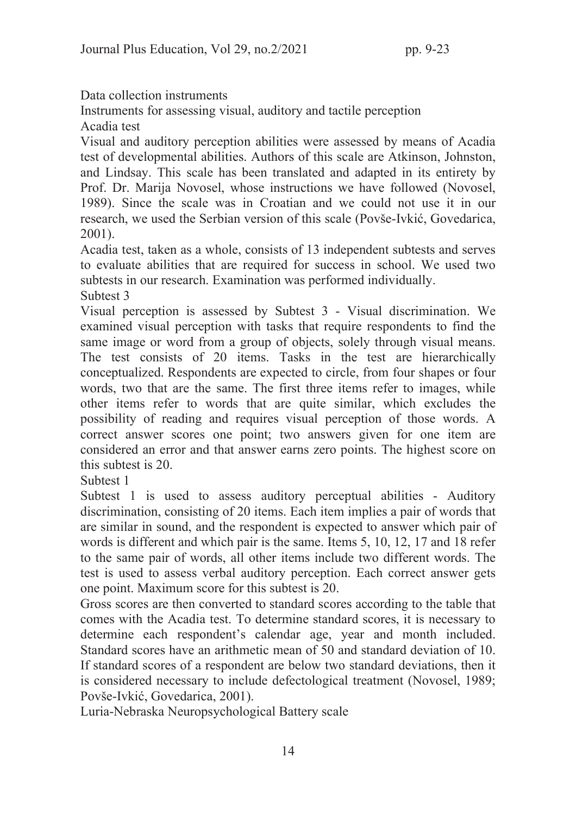Data collection instruments

Instruments for assessing visual, auditory and tactile perception Acadia test

Visual and auditory perception abilities were assessed by means of Acadia test of developmental abilities. Authors of this scale are Atkinson, Johnston, and Lindsay. This scale has been translated and adapted in its entirety by Prof. Dr. Marija Novosel, whose instructions we have followed (Novosel, 1989). Since the scale was in Croatian and we could not use it in our research, we used the Serbian version of this scale (Povše-Ivkić, Govedarica, 2001).

Acadia test, taken as a whole, consists of 13 independent subtests and serves to evaluate abilities that are required for success in school. We used two subtests in our research. Examination was performed individually. Subtest 3

Visual perception is assessed by Subtest 3 - Visual discrimination. We examined visual perception with tasks that require respondents to find the same image or word from a group of objects, solely through visual means. The test consists of 20 items. Tasks in the test are hierarchically conceptualized. Respondents are expected to circle, from four shapes or four words, two that are the same. The first three items refer to images, while other items refer to words that are quite similar, which excludes the possibility of reading and requires visual perception of those words. A correct answer scores one point; two answers given for one item are considered an error and that answer earns zero points. The highest score on this subtest is 20.

Subtest 1

Subtest 1 is used to assess auditory perceptual abilities - Auditory discrimination, consisting of 20 items. Each item implies a pair of words that are similar in sound, and the respondent is expected to answer which pair of words is different and which pair is the same. Items 5, 10, 12, 17 and 18 refer to the same pair of words, all other items include two different words. The test is used to assess verbal auditory perception. Each correct answer gets one point. Maximum score for this subtest is 20.

Gross scores are then converted to standard scores according to the table that comes with the Acadia test. To determine standard scores, it is necessary to determine each respondent's calendar age, year and month included. Standard scores have an arithmetic mean of 50 and standard deviation of 10. If standard scores of a respondent are below two standard deviations, then it is considered necessary to include defectological treatment (Novosel, 1989; Povše-Ivkić, Govedarica, 2001).

Luria-Nebraska Neuropsychological Battery scale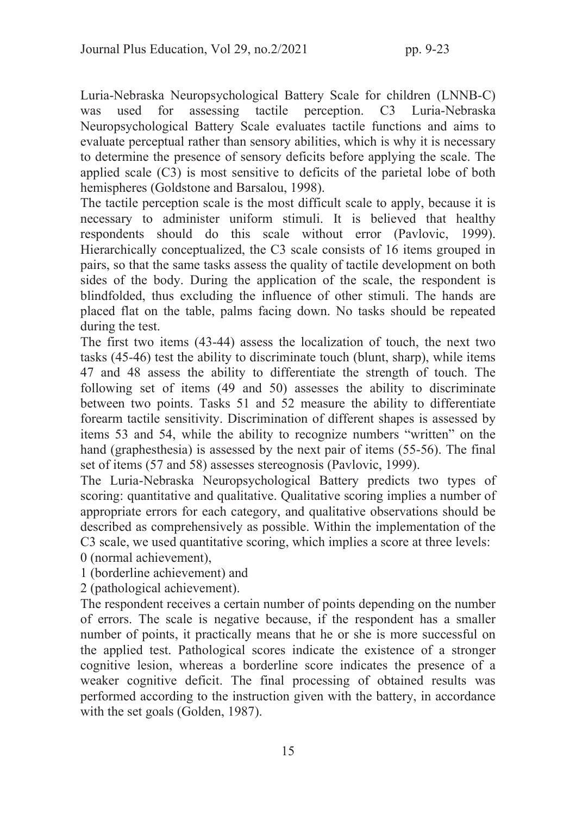Luria-Nebraska Neuropsychological Battery Scale for children (LNNB-C) was used for assessing tactile perception. C3 Luria-Nebraska Neuropsychological Battery Scale evaluates tactile functions and aims to evaluate perceptual rather than sensory abilities, which is why it is necessary to determine the presence of sensory deficits before applying the scale. The applied scale (C3) is most sensitive to deficits of the parietal lobe of both hemispheres (Goldstone and Barsalou, 1998).

The tactile perception scale is the most difficult scale to apply, because it is necessary to administer uniform stimuli. It is believed that healthy respondents should do this scale without error (Pavlovic, 1999). Hierarchically conceptualized, the C3 scale consists of 16 items grouped in pairs, so that the same tasks assess the quality of tactile development on both sides of the body. During the application of the scale, the respondent is blindfolded, thus excluding the influence of other stimuli. The hands are placed flat on the table, palms facing down. No tasks should be repeated during the test.

The first two items (43-44) assess the localization of touch, the next two tasks (45-46) test the ability to discriminate touch (blunt, sharp), while items 47 and 48 assess the ability to differentiate the strength of touch. The following set of items (49 and 50) assesses the ability to discriminate between two points. Tasks 51 and 52 measure the ability to differentiate forearm tactile sensitivity. Discrimination of different shapes is assessed by items 53 and 54, while the ability to recognize numbers "written" on the hand (graphesthesia) is assessed by the next pair of items (55-56). The final set of items (57 and 58) assesses stereognosis (Pavlovic, 1999).

The Luria-Nebraska Neuropsychological Battery predicts two types of scoring: quantitative and qualitative. Qualitative scoring implies a number of appropriate errors for each category, and qualitative observations should be described as comprehensively as possible. Within the implementation of the C3 scale, we used quantitative scoring, which implies a score at three levels: 0 (normal achievement),

1 (borderline achievement) and

2 (pathological achievement).

The respondent receives a certain number of points depending on the number of errors. The scale is negative because, if the respondent has a smaller number of points, it practically means that he or she is more successful on the applied test. Pathological scores indicate the existence of a stronger cognitive lesion, whereas a borderline score indicates the presence of a weaker cognitive deficit. The final processing of obtained results was performed according to the instruction given with the battery, in accordance with the set goals (Golden, 1987).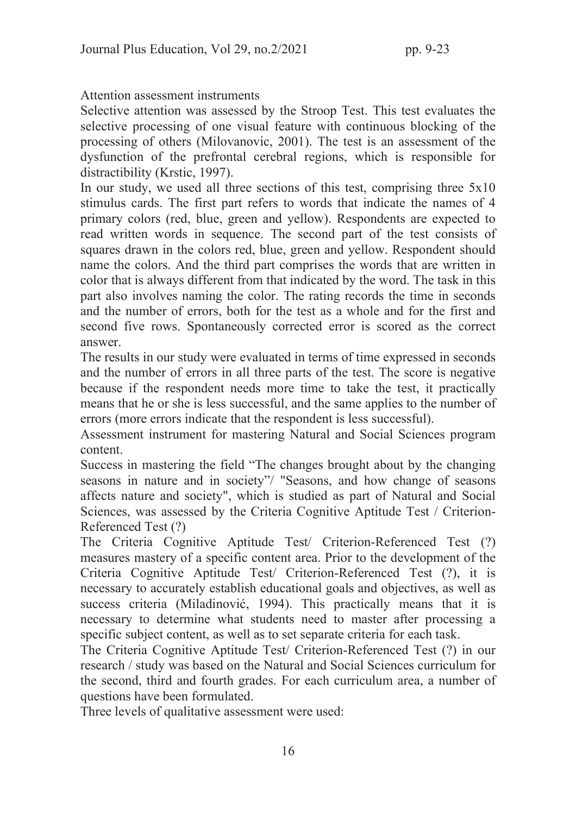## Attention assessment instruments

Selective attention was assessed by the Stroop Test. This test evaluates the selective processing of one visual feature with continuous blocking of the processing of others (Milovanovic, 2001). The test is an assessment of the dysfunction of the prefrontal cerebral regions, which is responsible for distractibility (Krstic, 1997).

In our study, we used all three sections of this test, comprising three 5x10 stimulus cards. The first part refers to words that indicate the names of 4 primary colors (red, blue, green and yellow). Respondents are expected to read written words in sequence. The second part of the test consists of squares drawn in the colors red, blue, green and yellow. Respondent should name the colors. And the third part comprises the words that are written in color that is always different from that indicated by the word. The task in this part also involves naming the color. The rating records the time in seconds and the number of errors, both for the test as a whole and for the first and second five rows. Spontaneously corrected error is scored as the correct answer.

The results in our study were evaluated in terms of time expressed in seconds and the number of errors in all three parts of the test. The score is negative because if the respondent needs more time to take the test, it practically means that he or she is less successful, and the same applies to the number of errors (more errors indicate that the respondent is less successful).

Assessment instrument for mastering Natural and Social Sciences program content.

Success in mastering the field "The changes brought about by the changing seasons in nature and in society"/ "Seasons, and how change of seasons affects nature and society", which is studied as part of Natural and Social Sciences, was assessed by the Criteria Cognitive Aptitude Test / Criterion-Referenced Test (?)

The Criteria Cognitive Aptitude Test/ Criterion-Referenced Test (?) measures mastery of a specific content area. Prior to the development of the Criteria Cognitive Aptitude Test/ Criterion-Referenced Test (?), it is necessary to accurately establish educational goals and objectives, as well as success criteria (Miladinović, 1994). This practically means that it is necessary to determine what students need to master after processing a specific subject content, as well as to set separate criteria for each task.

The Criteria Cognitive Aptitude Test/ Criterion-Referenced Test (?) in our research / study was based on the Natural and Social Sciences curriculum for the second, third and fourth grades. For each curriculum area, a number of questions have been formulated.

Three levels of qualitative assessment were used: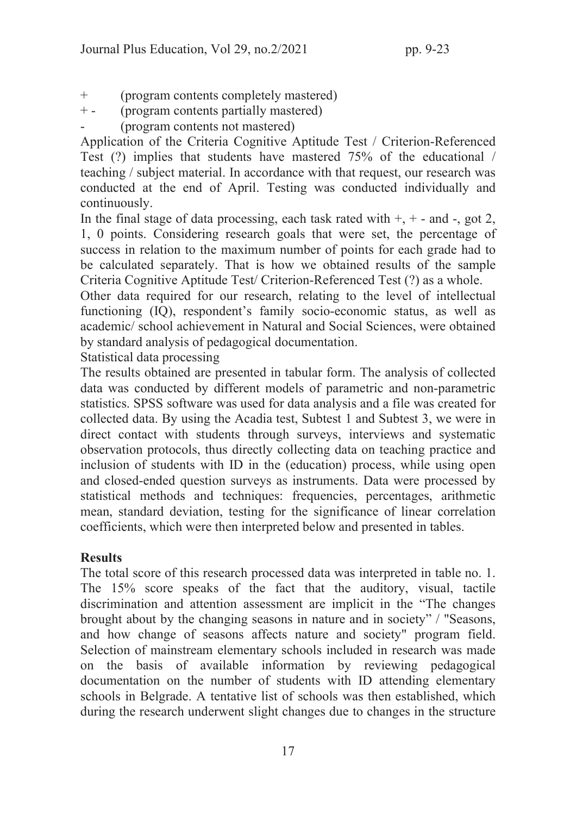- + (program contents completely mastered)
- + (program contents partially mastered)
- (program contents not mastered)

Application of the Criteria Cognitive Aptitude Test / Criterion-Referenced Test (?) implies that students have mastered 75% of the educational / teaching / subject material. In accordance with that request, our research was conducted at the end of April. Testing was conducted individually and continuously.

In the final stage of data processing, each task rated with  $+, +$  - and -, got 2, 1, 0 points. Considering research goals that were set, the percentage of success in relation to the maximum number of points for each grade had to be calculated separately. That is how we obtained results of the sample Criteria Cognitive Aptitude Test/ Criterion-Referenced Test (?) as a whole.

Other data required for our research, relating to the level of intellectual functioning (IQ), respondent's family socio-economic status, as well as academic/ school achievement in Natural and Social Sciences, were obtained by standard analysis of pedagogical documentation.

Statistical data processing

The results obtained are presented in tabular form. The analysis of collected data was conducted by different models of parametric and non-parametric statistics. SPSS software was used for data analysis and a file was created for collected data. By using the Acadia test, Subtest 1 and Subtest 3, we were in direct contact with students through surveys, interviews and systematic observation protocols, thus directly collecting data on teaching practice and inclusion of students with ID in the (education) process, while using open and closed-ended question surveys as instruments. Data were processed by statistical methods and techniques: frequencies, percentages, arithmetic mean, standard deviation, testing for the significance of linear correlation coefficients, which were then interpreted below and presented in tables.

## **Results**

The total score of this research processed data was interpreted in table no. 1. The 15% score speaks of the fact that the auditory, visual, tactile discrimination and attention assessment are implicit in the "The changes brought about by the changing seasons in nature and in society" / "Seasons, and how change of seasons affects nature and society" program field. Selection of mainstream elementary schools included in research was made on the basis of available information by reviewing pedagogical documentation on the number of students with ID attending elementary schools in Belgrade. A tentative list of schools was then established, which during the research underwent slight changes due to changes in the structure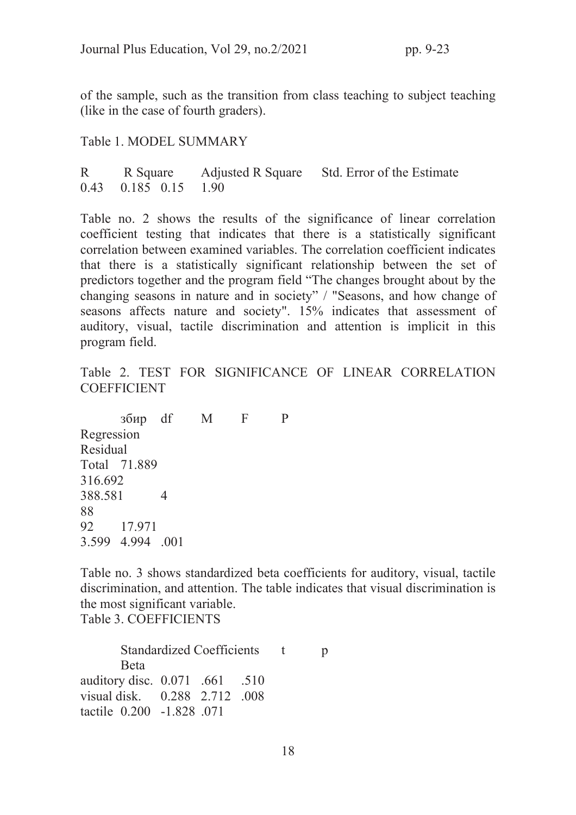of the sample, such as the transition from class teaching to subject teaching (like in the case of fourth graders).

Table 1. MODEL SUMMARY

R R Square Adjusted R Square Std. Error of the Estimate 0.43 0.185 0.15 1.90

Table no. 2 shows the results of the significance of linear correlation coefficient testing that indicates that there is a statistically significant correlation between examined variables. The correlation coefficient indicates that there is a statistically significant relationship between the set of predictors together and the program field "The changes brought about by the changing seasons in nature and in society" / "Seasons, and how change of seasons affects nature and society". 15% indicates that assessment of auditory, visual, tactile discrimination and attention is implicit in this program field.

Table 2. TEST FOR SIGNIFICANCE OF LINEAR CORRELATION **COEFFICIENT** 

 збир df M F P Regression Residual Total 71.889 316.692 388.581 4 88 92 17.971 3.599 4.994 .001

Table no. 3 shows standardized beta coefficients for auditory, visual, tactile discrimination, and attention. The table indicates that visual discrimination is the most significant variable.

Table 3. COEFFICIENTS

Standardized Coefficients t p Beta auditory disc. 0.071 .661 .510 visual disk. 0.288 2.712 .008 tactile 0.200 -1.828 .071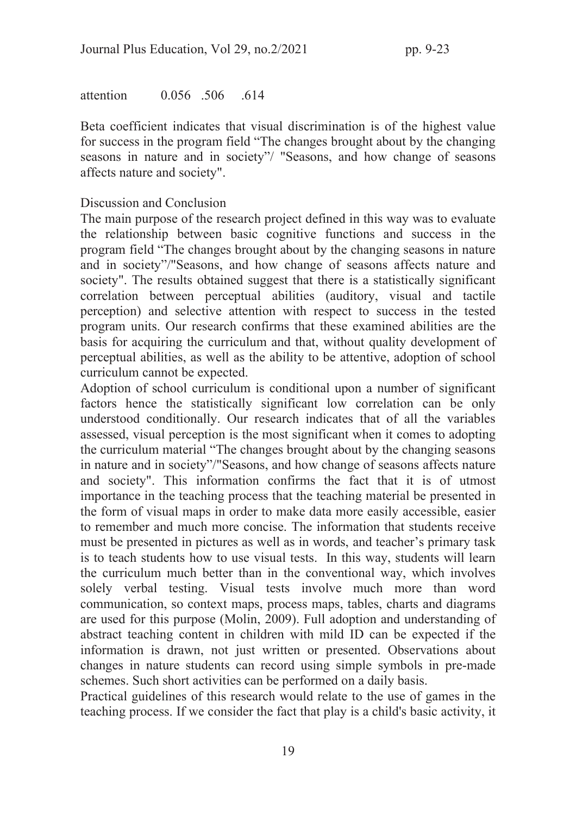attention 0.056 506 614

Beta coefficient indicates that visual discrimination is of the highest value for success in the program field "The changes brought about by the changing seasons in nature and in society"/ "Seasons, and how change of seasons affects nature and society".

### Discussion and Conclusion

The main purpose of the research project defined in this way was to evaluate the relationship between basic cognitive functions and success in the program field "The changes brought about by the changing seasons in nature and in society"/"Seasons, and how change of seasons affects nature and society". The results obtained suggest that there is a statistically significant correlation between perceptual abilities (auditory, visual and tactile perception) and selective attention with respect to success in the tested program units. Our research confirms that these examined abilities are the basis for acquiring the curriculum and that, without quality development of perceptual abilities, as well as the ability to be attentive, adoption of school curriculum cannot be expected.

Adoption of school curriculum is conditional upon a number of significant factors hence the statistically significant low correlation can be only understood conditionally. Our research indicates that of all the variables assessed, visual perception is the most significant when it comes to adopting the curriculum material "The changes brought about by the changing seasons in nature and in society"/"Seasons, and how change of seasons affects nature and society". This information confirms the fact that it is of utmost importance in the teaching process that the teaching material be presented in the form of visual maps in order to make data more easily accessible, easier to remember and much more concise. The information that students receive must be presented in pictures as well as in words, and teacher's primary task is to teach students how to use visual tests. In this way, students will learn the curriculum much better than in the conventional way, which involves solely verbal testing. Visual tests involve much more than word communication, so context maps, process maps, tables, charts and diagrams are used for this purpose (Molin, 2009). Full adoption and understanding of abstract teaching content in children with mild ID can be expected if the information is drawn, not just written or presented. Observations about changes in nature students can record using simple symbols in pre-made schemes. Such short activities can be performed on a daily basis.

Practical guidelines of this research would relate to the use of games in the teaching process. If we consider the fact that play is a child's basic activity, it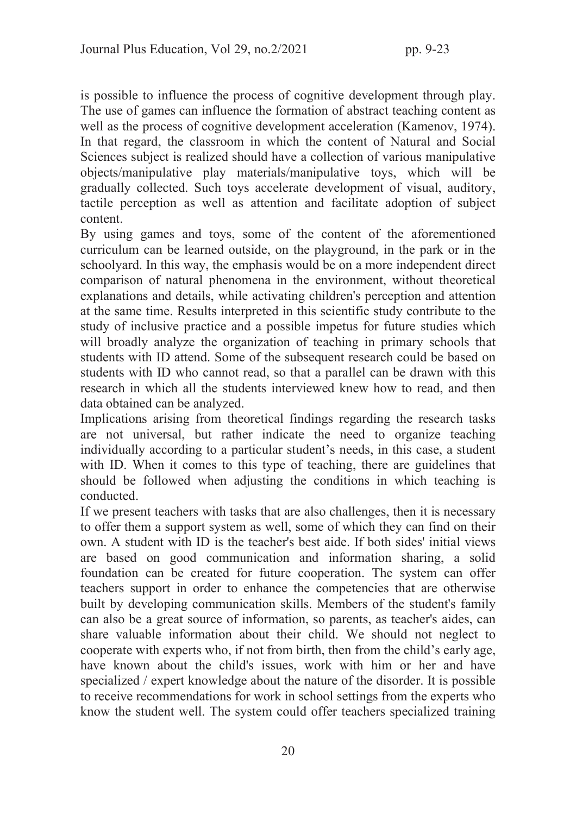is possible to influence the process of cognitive development through play. The use of games can influence the formation of abstract teaching content as well as the process of cognitive development acceleration (Kamenov, 1974). In that regard, the classroom in which the content of Natural and Social Sciences subject is realized should have a collection of various manipulative objects/manipulative play materials/manipulative toys, which will be gradually collected. Such toys accelerate development of visual, auditory, tactile perception as well as attention and facilitate adoption of subject content.

By using games and toys, some of the content of the aforementioned curriculum can be learned outside, on the playground, in the park or in the schoolyard. In this way, the emphasis would be on a more independent direct comparison of natural phenomena in the environment, without theoretical explanations and details, while activating children's perception and attention at the same time. Results interpreted in this scientific study contribute to the study of inclusive practice and a possible impetus for future studies which will broadly analyze the organization of teaching in primary schools that students with ID attend. Some of the subsequent research could be based on students with ID who cannot read, so that a parallel can be drawn with this research in which all the students interviewed knew how to read, and then data obtained can be analyzed.

Implications arising from theoretical findings regarding the research tasks are not universal, but rather indicate the need to organize teaching individually according to a particular student's needs, in this case, a student with ID. When it comes to this type of teaching, there are guidelines that should be followed when adjusting the conditions in which teaching is conducted.

If we present teachers with tasks that are also challenges, then it is necessary to offer them a support system as well, some of which they can find on their own. A student with ID is the teacher's best aide. If both sides' initial views are based on good communication and information sharing, a solid foundation can be created for future cooperation. The system can offer teachers support in order to enhance the competencies that are otherwise built by developing communication skills. Members of the student's family can also be a great source of information, so parents, as teacher's aides, can share valuable information about their child. We should not neglect to cooperate with experts who, if not from birth, then from the child's early age, have known about the child's issues, work with him or her and have specialized / expert knowledge about the nature of the disorder. It is possible to receive recommendations for work in school settings from the experts who know the student well. The system could offer teachers specialized training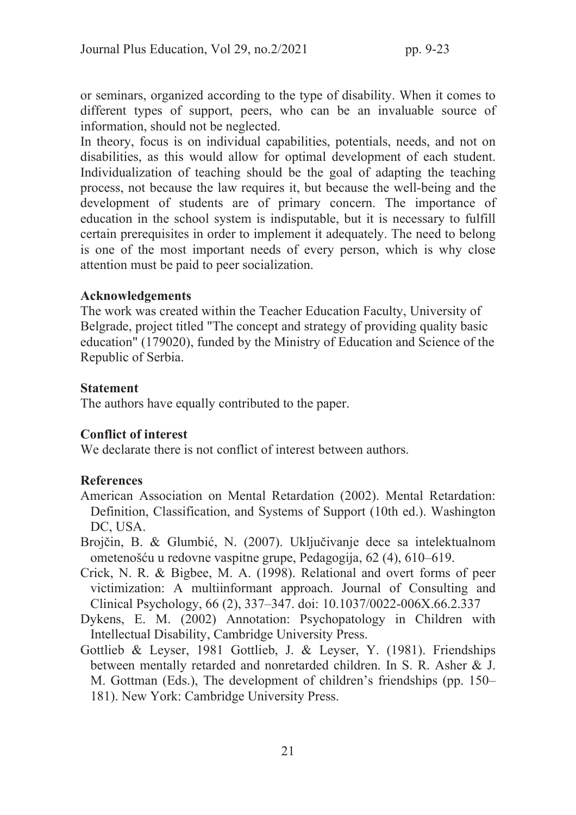or seminars, organized according to the type of disability. When it comes to different types of support, peers, who can be an invaluable source of information, should not be neglected.

In theory, focus is on individual capabilities, potentials, needs, and not on disabilities, as this would allow for optimal development of each student. Individualization of teaching should be the goal of adapting the teaching process, not because the law requires it, but because the well-being and the development of students are of primary concern. The importance of education in the school system is indisputable, but it is necessary to fulfill certain prerequisites in order to implement it adequately. The need to belong is one of the most important needs of every person, which is why close attention must be paid to peer socialization.

#### Acknowledgements

The work was created within the Teacher Education Faculty, University of Belgrade, project titled "The concept and strategy of providing quality basic education" (179020), funded by the Ministry of Education and Science of the Republic of Serbia.

### Statement

The authors have equally contributed to the paper.

## Conflict of interest

We declarate there is not conflict of interest between authors.

## **References**

- American Association on Mental Retardation (2002). Mental Retardation: Definition, Classification, and Systems of Support (10th ed.). Washington DC, USA.
- Brojčin, B. & Glumbić, N. (2007). Uključivanje dece sa intelektualnom ometenošću u redovne vaspitne grupe, Pedagogija, 62 (4), 610–619.
- Crick, N. R. & Bigbee, M. A. (1998). Relational and overt forms of peer victimization: A multiinformant approach. Journal of Consulting and Clinical Psychology, 66 (2), 337–347. doi: 10.1037/0022-006X.66.2.337
- Dykens, E. M. (2002) Annotation: Psychopatology in Children with Intellectual Disability, Cambridge University Press.
- Gottlieb & Leyser, 1981 Gottlieb, J. & Leyser, Y. (1981). Friendships between mentally retarded and nonretarded children. In S. R. Asher & J. M. Gottman (Eds.), The development of children's friendships (pp. 150– 181). New York: Cambridge University Press.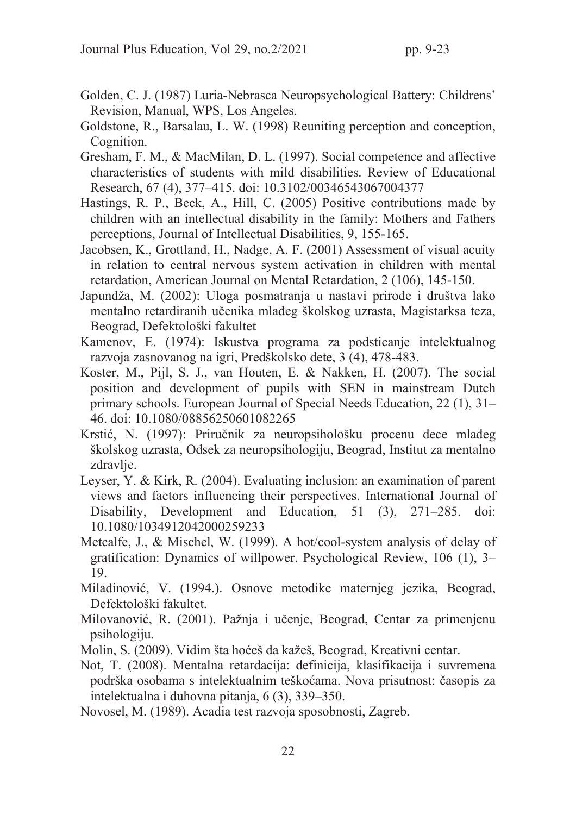- Golden, C. J. (1987) Luria-Nebrasca Neuropsychological Battery: Childrens' Revision, Manual, WPS, Los Angeles.
- Goldstone, R., Barsalau, L. W. (1998) Reuniting perception and conception, Cognition.
- Gresham, F. M., & MacMilan, D. L. (1997). Social competence and affective characteristics of students with mild disabilities. Review of Educational Research, 67 (4), 377–415. doi: 10.3102/00346543067004377
- Hastings, R. P., Beck, A., Hill, C. (2005) Positive contributions made by children with an intellectual disability in the family: Mothers and Fathers perceptions, Journal of Intellectual Disabilities, 9, 155-165.
- Jacobsen, K., Grottland, H., Nadge, A. F. (2001) Assessment of visual acuity in relation to central nervous system activation in children with mental retardation, American Journal on Mental Retardation, 2 (106), 145-150.
- Japundža, M. (2002): Uloga posmatranja u nastavi prirode i društva lako mentalno retardiranih učenika mlađeg školskog uzrasta, Magistarksa teza, Beograd, Defektološki fakultet
- Kamenov, E. (1974): Iskustva programa za podsticanje intelektualnog razvoja zasnovanog na igri, Predškolsko dete, 3 (4), 478-483.
- Koster, M., Pijl, S. J., van Houten, E. & Nakken, H. (2007). The social position and development of pupils with SEN in mainstream Dutch primary schools. European Journal of Special Needs Education, 22 (1), 31– 46. doi: 10.1080/08856250601082265
- Krstić, N. (1997): Priručnik za neuropsihološku procenu dece mlađeg školskog uzrasta, Odsek za neuropsihologiju, Beograd, Institut za mentalno zdravlie.
- Leyser, Y. & Kirk, R. (2004). Evaluating inclusion: an examination of parent views and factors influencing their perspectives. International Journal of Disability, Development and Education, 51 (3), 271–285. doi: 10.1080/1034912042000259233
- Metcalfe, J., & Mischel, W. (1999). A hot/cool-system analysis of delay of gratification: Dynamics of willpower. Psychological Review, 106 (1), 3– 19.
- Miladinović, V. (1994.). Osnove metodike maternjeg jezika, Beograd, Defektološki fakultet.
- Milovanović, R. (2001). Pažnja i učenje, Beograd, Centar za primenjenu psihologiju.
- Molin, S. (2009). Vidim šta hoćeš da kažeš, Beograd, Kreativni centar.
- Not, T. (2008). Mentalna retardacija: definicija, klasifikacija i suvremena podrška osobama s intelektualnim teškoćama. Nova prisutnost: časopis za intelektualna i duhovna pitanja, 6 (3), 339–350.
- Novosel, M. (1989). Acadia test razvoja sposobnosti, Zagreb.